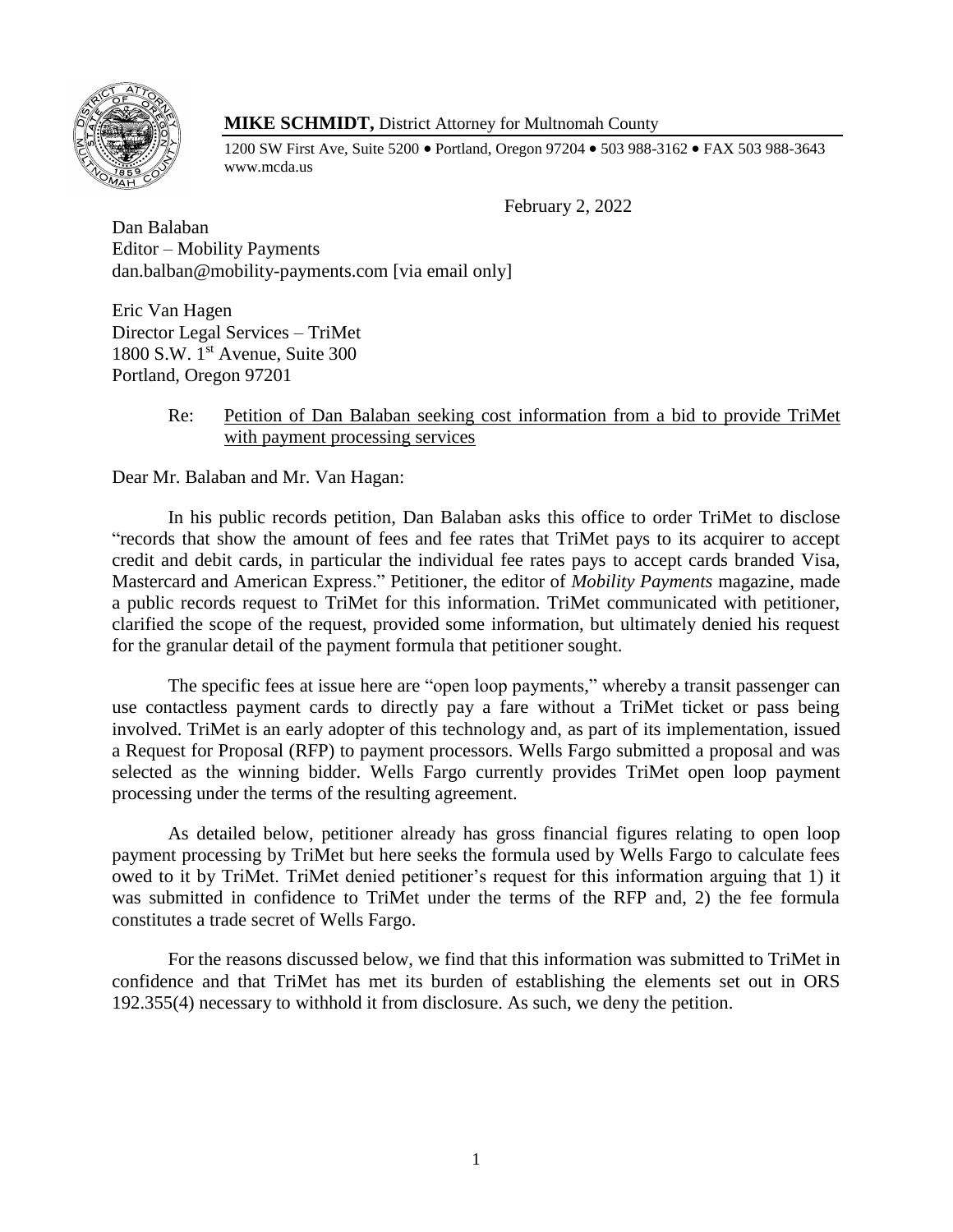

# **MIKE SCHMIDT,** District Attorney for Multnomah County

1200 SW First Ave, Suite 5200 • Portland, Oregon 97204 • 503 988-3162 • FAX 503 988-3643 www.mcda.us

February 2, 2022

Dan Balaban Editor – Mobility Payments dan.balban@mobility-payments.com [via email only]

Eric Van Hagen Director Legal Services – TriMet 1800 S.W. 1st Avenue, Suite 300 Portland, Oregon 97201

# Re: Petition of Dan Balaban seeking cost information from a bid to provide TriMet with payment processing services

Dear Mr. Balaban and Mr. Van Hagan:

In his public records petition, Dan Balaban asks this office to order TriMet to disclose "records that show the amount of fees and fee rates that TriMet pays to its acquirer to accept credit and debit cards, in particular the individual fee rates pays to accept cards branded Visa, Mastercard and American Express." Petitioner, the editor of *Mobility Payments* magazine, made a public records request to TriMet for this information. TriMet communicated with petitioner, clarified the scope of the request, provided some information, but ultimately denied his request for the granular detail of the payment formula that petitioner sought.

The specific fees at issue here are "open loop payments," whereby a transit passenger can use contactless payment cards to directly pay a fare without a TriMet ticket or pass being involved. TriMet is an early adopter of this technology and, as part of its implementation, issued a Request for Proposal (RFP) to payment processors. Wells Fargo submitted a proposal and was selected as the winning bidder. Wells Fargo currently provides TriMet open loop payment processing under the terms of the resulting agreement.

As detailed below, petitioner already has gross financial figures relating to open loop payment processing by TriMet but here seeks the formula used by Wells Fargo to calculate fees owed to it by TriMet. TriMet denied petitioner's request for this information arguing that 1) it was submitted in confidence to TriMet under the terms of the RFP and, 2) the fee formula constitutes a trade secret of Wells Fargo.

For the reasons discussed below, we find that this information was submitted to TriMet in confidence and that TriMet has met its burden of establishing the elements set out in ORS 192.355(4) necessary to withhold it from disclosure. As such, we deny the petition.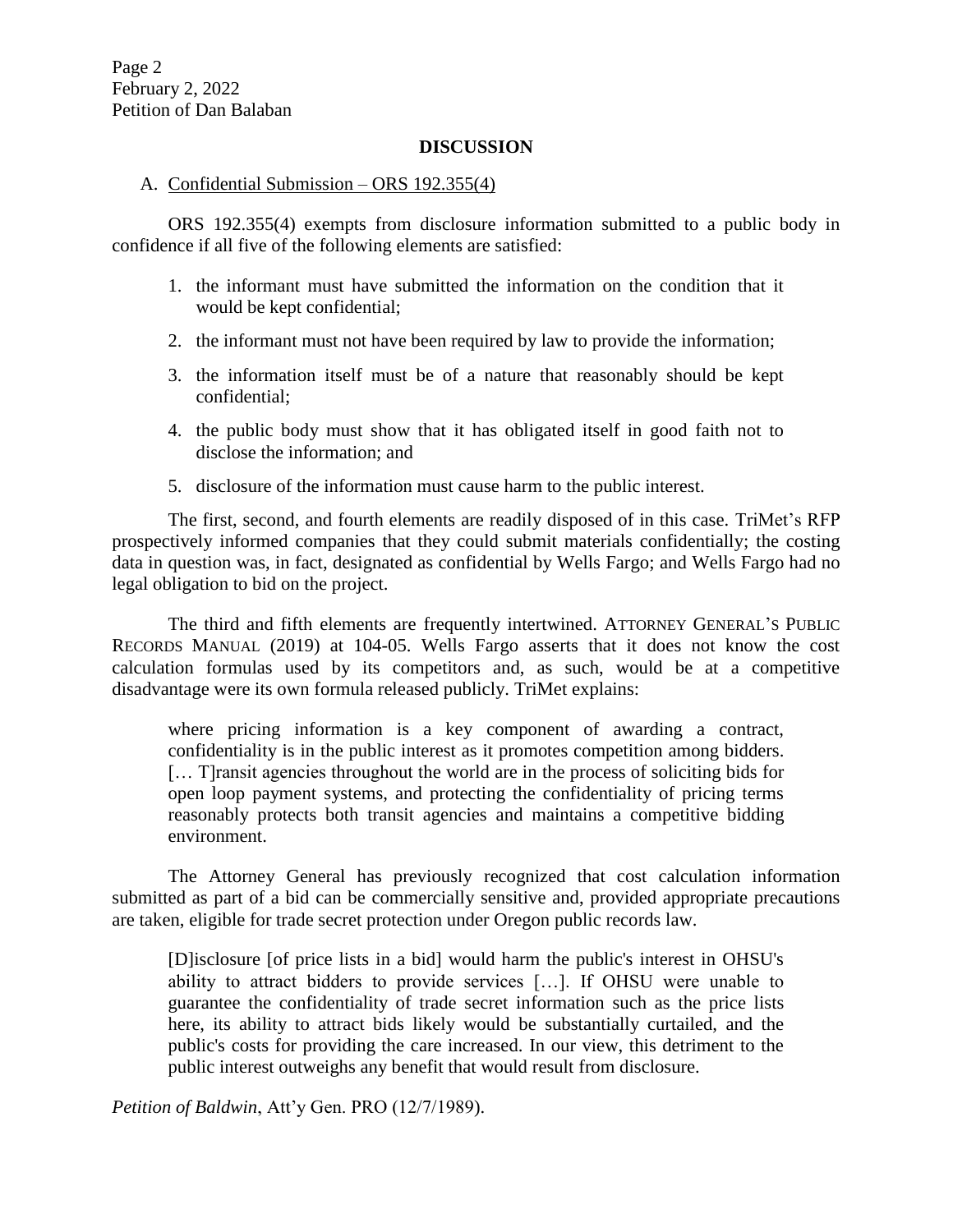### **DISCUSSION**

# A. Confidential Submission – ORS 192.355(4)

ORS 192.355(4) exempts from disclosure information submitted to a public body in confidence if all five of the following elements are satisfied:

- 1. the informant must have submitted the information on the condition that it would be kept confidential;
- 2. the informant must not have been required by law to provide the information;
- 3. the information itself must be of a nature that reasonably should be kept confidential;
- 4. the public body must show that it has obligated itself in good faith not to disclose the information; and
- 5. disclosure of the information must cause harm to the public interest.

The first, second, and fourth elements are readily disposed of in this case. TriMet's RFP prospectively informed companies that they could submit materials confidentially; the costing data in question was, in fact, designated as confidential by Wells Fargo; and Wells Fargo had no legal obligation to bid on the project.

The third and fifth elements are frequently intertwined. ATTORNEY GENERAL'S PUBLIC RECORDS MANUAL (2019) at 104-05. Wells Fargo asserts that it does not know the cost calculation formulas used by its competitors and, as such, would be at a competitive disadvantage were its own formula released publicly. TriMet explains:

where pricing information is a key component of awarding a contract, confidentiality is in the public interest as it promotes competition among bidders. [… T]ransit agencies throughout the world are in the process of soliciting bids for open loop payment systems, and protecting the confidentiality of pricing terms reasonably protects both transit agencies and maintains a competitive bidding environment.

The Attorney General has previously recognized that cost calculation information submitted as part of a bid can be commercially sensitive and, provided appropriate precautions are taken, eligible for trade secret protection under Oregon public records law.

[D]isclosure [of price lists in a bid] would harm the public's interest in OHSU's ability to attract bidders to provide services […]. If OHSU were unable to guarantee the confidentiality of trade secret information such as the price lists here, its ability to attract bids likely would be substantially curtailed, and the public's costs for providing the care increased. In our view, this detriment to the public interest outweighs any benefit that would result from disclosure.

*Petition of Baldwin*, Att'y Gen. PRO (12/7/1989).